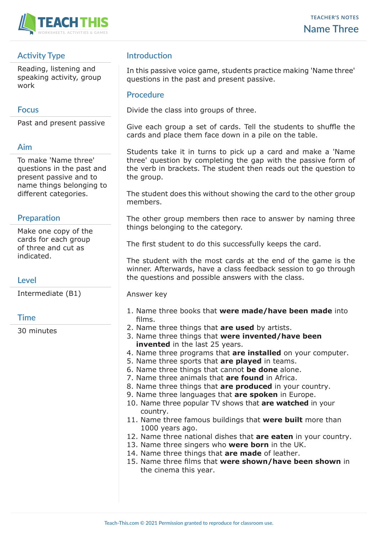

# **Activity Type**

Reading, listening and speaking activity, group work

### **Focus**

Past and present passive

#### **Aim**

To make 'Name three' questions in the past and present passive and to name things belonging to different categories.

## **Preparation**

Make one copy of the cards for each group of three and cut as indicated.

**Level**

Intermediate (B1)

### **Time**

30 minutes

# **Introduction**

In this passive voice game, students practice making 'Name three' questions in the past and present passive.

#### **Procedure**

Divide the class into groups of three.

Give each group a set of cards. Tell the students to shuffle the cards and place them face down in a pile on the table.

Students take it in turns to pick up a card and make a 'Name three' question by completing the gap with the passive form of the verb in brackets. The student then reads out the question to the group.

The student does this without showing the card to the other group members.

The other group members then race to answer by naming three things belonging to the category.

The first student to do this successfully keeps the card.

The student with the most cards at the end of the game is the winner. Afterwards, have a class feedback session to go through the questions and possible answers with the class.

Answer key

- 1. Name three books that **were made/have been made** into films.
- 2. Name three things that **are used** by artists.
- 3. Name three things that **were invented/have been invented** in the last 25 years.
- 4. Name three programs that **are installed** on your computer.
- 5. Name three sports that **are played** in teams.
- 6. Name three things that cannot **be done** alone.
- 7. Name three animals that **are found** in Africa.
- 8. Name three things that **are produced** in your country.
- 9. Name three languages that **are spoken** in Europe.
- 10. Name three popular TV shows that **are watched** in your country.
- 11. Name three famous buildings that **were built** more than 1000 years ago.
- 12. Name three national dishes that **are eaten** in your country.
- 13. Name three singers who **were born** in the UK.
- 14. Name three things that **are made** of leather.
- 15. Name three films that **were shown/have been shown** in the cinema this year.